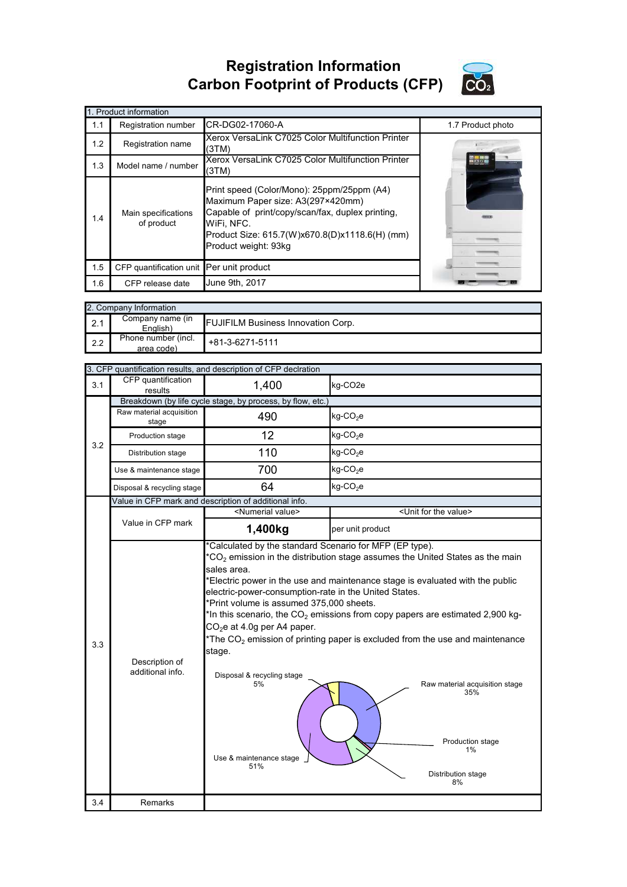## **Registration Information Carbon Footprint of Products (CFP)**



|     | 1. Product information                   |                                                                                                                                                                                                                             |                   |
|-----|------------------------------------------|-----------------------------------------------------------------------------------------------------------------------------------------------------------------------------------------------------------------------------|-------------------|
| 1.1 | Registration number                      | CR-DG02-17060-A                                                                                                                                                                                                             | 1.7 Product photo |
| 1.2 | Registration name                        | Xerox VersaLink C7025 Color Multifunction Printer<br>(3TM)                                                                                                                                                                  |                   |
| 1.3 | Model name / number                      | Xerox VersaLink C7025 Color Multifunction Printer<br>(3TM)                                                                                                                                                                  |                   |
| 1.4 | Main specifications<br>of product        | Print speed (Color/Mono): 25ppm/25ppm (A4)<br>Maximum Paper size: A3(297×420mm)<br>Capable of print/copy/scan/fax, duplex printing,<br>WiFi, NFC.<br>Product Size: 615.7(W)x670.8(D)x1118.6(H) (mm)<br>Product weight: 93kg |                   |
| 1.5 | CFP quantification unit Per unit product |                                                                                                                                                                                                                             |                   |
| 1.6 | CFP release date                         | June 9th, 2017                                                                                                                                                                                                              |                   |

|     | 2. Company Information            |                                           |
|-----|-----------------------------------|-------------------------------------------|
| 2.1 | Company name (in<br>English)      | <b>FUJIFILM Business Innovation Corp.</b> |
| 2.2 | Phone number (incl.<br>area code) | $+81-3-6271-5111$                         |

| CFP quantification<br>results      | 1,400                                                                                                                                                                                                                            | kg-CO <sub>2</sub> e                                                                                                                                                                                                                                                                                                                                                                                                                 |
|------------------------------------|----------------------------------------------------------------------------------------------------------------------------------------------------------------------------------------------------------------------------------|--------------------------------------------------------------------------------------------------------------------------------------------------------------------------------------------------------------------------------------------------------------------------------------------------------------------------------------------------------------------------------------------------------------------------------------|
|                                    |                                                                                                                                                                                                                                  |                                                                                                                                                                                                                                                                                                                                                                                                                                      |
| stage                              | 490                                                                                                                                                                                                                              | $kg$ -CO <sub>2</sub> e                                                                                                                                                                                                                                                                                                                                                                                                              |
| Production stage                   | 12                                                                                                                                                                                                                               | $kg$ -CO <sub>2</sub> e                                                                                                                                                                                                                                                                                                                                                                                                              |
| Distribution stage                 | 110                                                                                                                                                                                                                              | $kg$ -CO <sub>2</sub> e                                                                                                                                                                                                                                                                                                                                                                                                              |
| Use & maintenance stage            | 700                                                                                                                                                                                                                              | $kg$ -CO <sub>2</sub> e                                                                                                                                                                                                                                                                                                                                                                                                              |
| Disposal & recycling stage         | 64                                                                                                                                                                                                                               | $kg$ -CO <sub>2</sub> e                                                                                                                                                                                                                                                                                                                                                                                                              |
|                                    |                                                                                                                                                                                                                                  |                                                                                                                                                                                                                                                                                                                                                                                                                                      |
|                                    |                                                                                                                                                                                                                                  | <unit for="" the="" value=""></unit>                                                                                                                                                                                                                                                                                                                                                                                                 |
|                                    | 1,400kg                                                                                                                                                                                                                          | per unit product                                                                                                                                                                                                                                                                                                                                                                                                                     |
| Description of<br>additional info. | sales area.<br>electric-power-consumption-rate in the United States.<br>*Print volume is assumed 375,000 sheets.<br>$CO2e$ at 4.0g per A4 paper.<br>stage.<br>Disposal & recycling stage<br>5%<br>Use & maintenance stage<br>51% | $*CO2$ emission in the distribution stage assumes the United States as the main<br>*Electric power in the use and maintenance stage is evaluated with the public<br>*In this scenario, the $CO2$ emissions from copy papers are estimated 2,900 kg-<br>*The $CO2$ emission of printing paper is excluded from the use and maintenance<br>Raw material acquisition stage<br>35%<br>Production stage<br>1%<br>Distribution stage<br>8% |
| Remarks                            |                                                                                                                                                                                                                                  |                                                                                                                                                                                                                                                                                                                                                                                                                                      |
|                                    | Raw material acquisition<br>Value in CFP mark                                                                                                                                                                                    | 3. CFP quantification results, and description of CFP declration<br>Breakdown (by life cycle stage, by process, by flow, etc.)<br>Value in CFP mark and description of additional info.<br><numerial value=""><br/>*Calculated by the standard Scenario for MFP (EP type).</numerial>                                                                                                                                                |